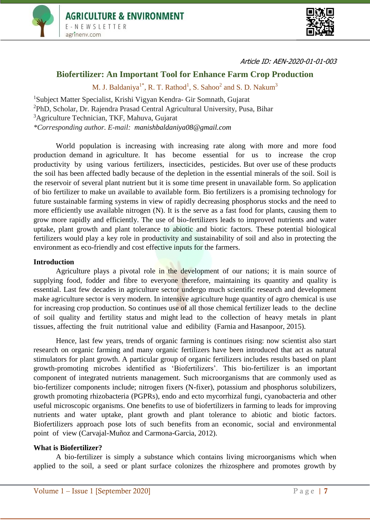



Article ID: AEN-2020-01-01-003

# **Biofertilizer: An Important Tool for Enhance Farm Crop Production**

M. J. Baldaniya<sup>1\*</sup>, R. T. Rathod<sup>1</sup>, S. Sahoo<sup>2</sup> and S. D. Nakum<sup>3</sup>

Subject Matter Specialist, Krishi Vigyan Kendra- Gir Somnath, Gujarat PhD, Scholar, Dr. Rajendra Prasad Central Agricultural University, Pusa, Bihar Agriculture Technician, TKF, Mahuva, Gujarat *\*Corresponding author. E-mail: [manishbaldaniya08@gmail.com](mailto:manishbaldaniya08@gmail.com)*

World population is increasing with increasing rate along with more and more food production demand in agriculture. It has become essential for us to increase the crop productivity by using various fertilizers, insecticides, pesticides. But over use of these products the soil has been affected badly because of the depletion in the essential minerals of the soil. Soil is the reservoir of several plant nutrient but it is some time present in unavailable form. So application of bio fertilizer to make un available to available form. Bio fertilizers is a promising technology for future sustainable farming systems in view of rapidly decreasing phosphorus stocks and the need to more efficiently use available nitrogen (N). It is the serve as a fast food for plants, causing them to grow more rapidly and efficiently. The use of bio-fertilizers leads to improved nutrients and water uptake, plant growth and plant tolerance to abiotic and biotic factors. These potential biological fertilizers would play a key role in productivity and sustainability of soil and also in protecting the environment as eco-friendly and cost effective inputs for the farmers.

#### **Introduction**

Agriculture plays a pivotal role in the development of our nations; it is main source of supplying food, fodder and fibre to everyone therefore, maintaining its quantity and quality is essential. Last few decades in agriculture sector undergo much scientific research and development make agriculture sector is very modern. In intensive agriculture huge quantity of agro chemical is use for increasing crop production. So continues use of all those chemical fertilizer leads to the decline of soil quality and fertility status and might lead to the collection of heavy metals in plant tissues, affecting the fruit nutritional value and edibility (Farnia and Hasanpoor, 2015).

Hence, last few years, trends of organic farming is continues rising: now scientist also start research on organic farming and many organic fertilizers have been introduced that act as natural stimulators for plant growth. A particular group of organic fertilizers includes results based on plant growth-promoting microbes identified as 'Biofertilizers'. This bio-fertilizer is an important component of integrated nutrients management. Such microorganisms that are commonly used as bio-fertilizer components include; nitrogen fixers (N-fixer), potassium and phosphorus solubilizers, growth promoting rhizobacteria (PGPRs), endo and ecto mycorrhizal fungi, cyanobacteria and other useful microscopic organisms. One benefits to use of biofertilizers in farming to leads for improving nutrients and water uptake, plant growth and plant tolerance to abiotic and biotic factors. Biofertilizers approach pose lots of such benefits from an economic, social and environmental point of view (Carvajal-Muñoz and Carmona-Garcia, 2012).

#### **What is Biofertilizer?**

A bio-fertilizer is simply a substance which contains living microorganisms which when applied to the soil, a seed or plant surface colonizes the rhizosphere and promotes growth by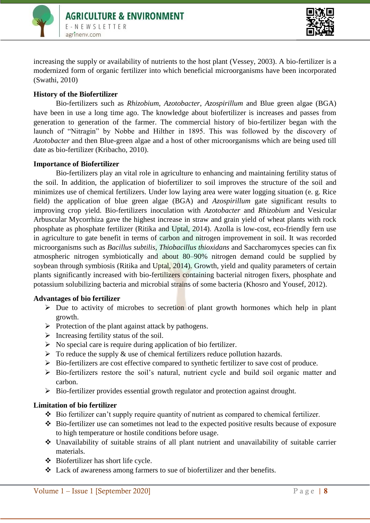



increasing the supply or availability of nutrients to the host plant (Vessey, 2003). A bio-fertilizer is a modernized form of organic fertilizer into which beneficial microorganisms have been incorporated (Swathi, 2010)

## **History of the Biofertilizer**

Bio-fertilizers such as *Rhizobium*, *Azotobacter*, *Azospirillum* and Blue green algae (BGA) have been in use a long time ago. The knowledge about biofertilizer is increases and passes from generation to generation of the farmer. The commercial history of bio-fertilizer began with the launch of "Nitragin" by Nobbe and Hilther in 1895. This was followed by the discovery of *Azotobacter* and then Blue-green algae and a host of other microorganisms which are being used till date as bio-fertilizer (Kribacho, 2010).

## **Importance of Biofertilizer**

Bio-fertilizers play an vital role in agriculture to enhancing and maintaining fertility status of the soil. In addition, the application of biofertilizer to soil improves the structure of the soil and minimizes use of chemical fertilizers. Under low laying area were water logging situation (e. g. Rice field) the application of blue green algae (BGA) and *Azospirillum* gate significant results to improving crop yield. Bio-fertilizers inoculation with *Azotobacter* and *Rhizobium* and Vesicular Arbuscular Mycorrhiza gave the highest increase in straw and grain yield of wheat plants with rock phosphate as phosphate fertilizer (Ritika and Uptal, 2014). Azolla is low-cost, eco-friendly fern use in agriculture to gate benefit in terms of carbon and nitrogen improvement in soil. It was recorded microorganisms such as *Bacillus subtilis*, *Thiobacillus thioxidans* and Saccharomyces species can fix atmospheric nitrogen symbiotically and about 80–90% nitrogen demand could be supplied by soybean through symbiosis (Ritika and Uptal, 2014). Growth, yield and quality parameters of certain plants significantly increased with bio-fertilizers containing bacterial nitrogen fixers, phosphate and potassium solubilizing bacteria and microbial strains of some bacteria (Khosro and Yousef, 2012).

## **Advantages of bio fertilizer**

- $\triangleright$  Due to activity of microbes to secretion of plant growth hormones which help in plant growth.
- $\triangleright$  Protection of the plant against attack by pathogens.
- $\triangleright$  Increasing fertility status of the soil.
- $\triangleright$  No special care is require during application of bio fertilizer.
- $\triangleright$  To reduce the supply & use of chemical fertilizers reduce pollution hazards.
- $\triangleright$  Bio-fertilizers are cost effective compared to synthetic fertilizer to save cost of produce.
- $\triangleright$  Bio-fertilizers restore the soil's natural, nutrient cycle and build soil organic matter and carbon.
- $\triangleright$  Bio-fertilizer provides essential growth regulator and protection against drought.

## **Limitation of bio fertilizer**

- Bio fertilizer can't supply require quantity of nutrient as compared to chemical fertilizer.
- Bio-fertilizer use can sometimes not lead to the expected positive results because of exposure to high temperature or hostile conditions before usage.
- Unavailability of suitable strains of all plant nutrient and unavailability of suitable carrier materials.
- Biofertilizer has short life cycle.
- Lack of awareness among farmers to sue of biofertilizer and ther benefits.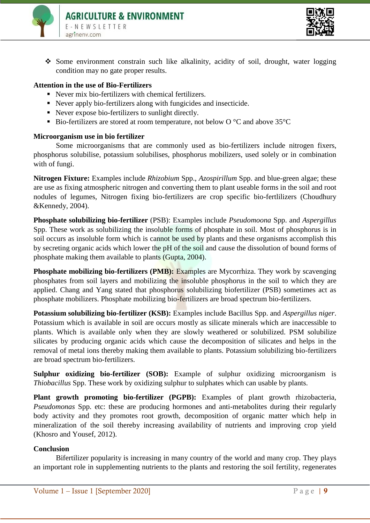



 Some environment constrain such like alkalinity, acidity of soil, drought, water logging condition may no gate proper results.

### **Attention in the use of Bio-Fertilizers**

- Never mix bio-fertilizers with chemical fertilizers.
- Never apply bio-fertilizers along with fungicides and insecticide.
- Never expose bio-fertilizers to sunlight directly.
- Bio-fertilizers are stored at room temperature, not below  $O^{\circ}C$  and above  $35^{\circ}C$

#### **Microorganism use in bio fertilizer**

Some microorganisms that are commonly used as bio-fertilizers include nitrogen fixers, phosphorus solubilise, potassium solubilises, phosphorus mobilizers, used solely or in combination with of fungi.

**Nitrogen Fixture:** Examples include *Rhizobium* Spp., *Azospirillum* Spp. and blue-green algae; these are use as fixing atmospheric nitrogen and converting them to plant useable forms in the soil and root nodules of legumes, Nitrogen fixing bio-fertilizers are crop specific bio-fertlilizers (Choudhury &Kennedy, 2004).

**Phosphate solubilizing bio-fertilizer** (PSB): Examples include *Pseudomoona* Spp. and *Aspergillus*  Spp. These work as solubilizing the insoluble forms of phosphate in soil. Most of phosphorus is in soil occurs as insoluble form which is cannot be used by plants and these organisms accomplish this by secreting organic acids which lower the pH of the soil and cause the dissolution of bound forms of phosphate making them available to plants (Gupta, 2004).

**Phosphate mobilizing bio-fertilizers (PMB):** Examples are Mycorrhiza. They work by scavenging phosphates from soil layers and mobilizing the insoluble phosphorus in the soil to which they are applied. Chang and Yang stated that phosphorus solubilizing biofertilizer (PSB) sometimes act as phosphate mobilizers. Phosphate mobilizing bio-fertilizers are broad spectrum bio-fertilizers.

**Potassium solubilizing bio-fertilizer (KSB):** Examples include Bacillus Spp. and *Aspergillus niger*. Potassium which is available in soil are occurs mostly as silicate minerals which are inaccessible to plants. Which is available only when they are slowly weathered or solubilized. PSM solubilize silicates by producing organic acids which cause the decomposition of silicates and helps in the removal of metal ions thereby making them available to plants. Potassium solubilizing bio-fertilizers are broad spectrum bio-fertilizers.

**Sulphur oxidizing bio-fertilizer (SOB):** Example of sulphur oxidizing microorganism is *Thiobacillus* Spp. These work by oxidizing sulphur to sulphates which can usable by plants.

**Plant growth promoting bio-fertilizer (PGPB):** Examples of plant growth rhizobacteria, *Pseudomonas* Spp. etc: these are producing hormones and anti-metabolites during their regularly body activity and they promotes root growth, decomposition of organic matter which help in mineralization of the soil thereby increasing availability of nutrients and improving crop yield (Khosro and Yousef, 2012).

#### **Conclusion**

Bifertilizer popularity is increasing in many country of the world and many crop. They plays an important role in supplementing nutrients to the plants and restoring the soil fertility, regenerates